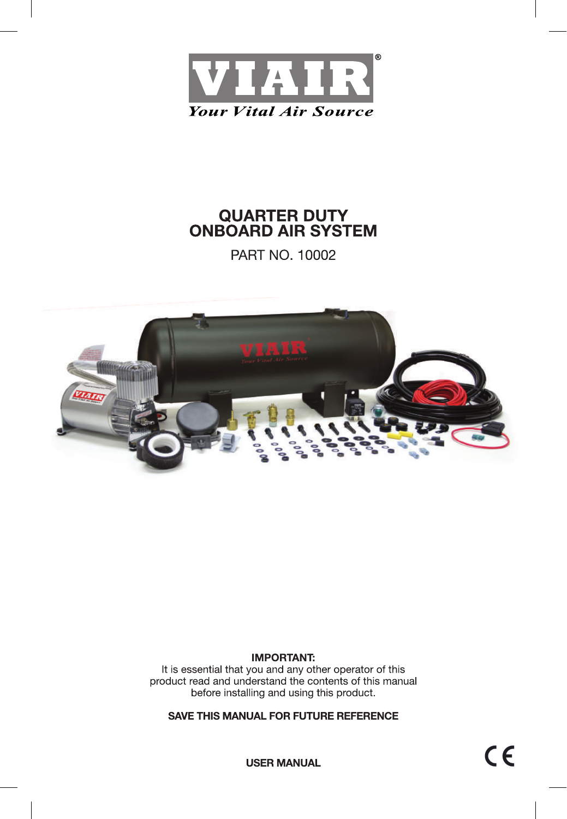

PART NO. 10002



## **IMPORTANT:**

It is essential that you and any other operator of this product read and understand the contents of this manual before installing and using this product.

**SAVE THIS MANUAL FOR FUTURE REFERENCE**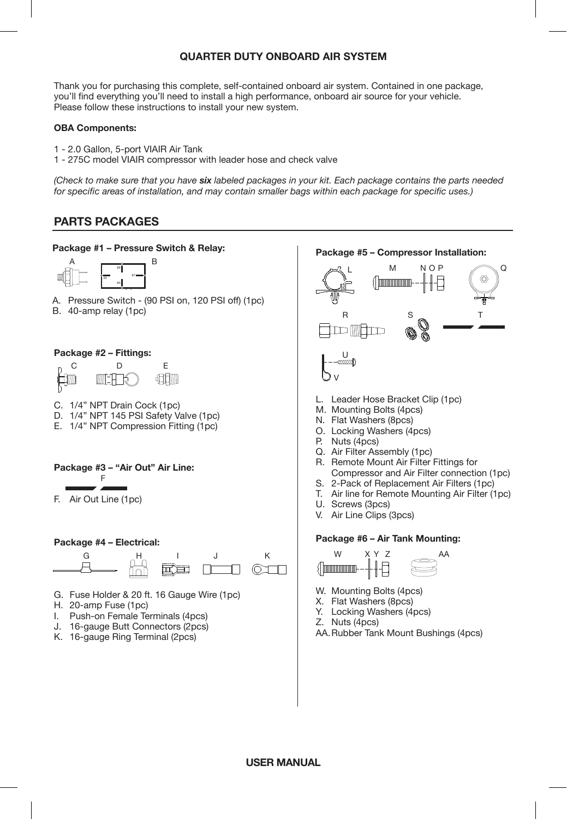Thank you for purchasing this complete, self-contained onboard air system. Contained in one package, you'll find everything you'll need to install a high performance, onboard air source for your vehicle. Please follow these instructions to install your new system.

#### **OBA Components:**

- 1 2.0 Gallon, 5-port VIAIR Air Tank
- 1 275C model VIAIR compressor with leader hose and check valve

*(Check to make sure that you have six labeled packages in your kit. Each package contains the parts needed for specific areas of installation, and may contain smaller bags within each package for specific uses.)*

# **PARTS PACKAGES**

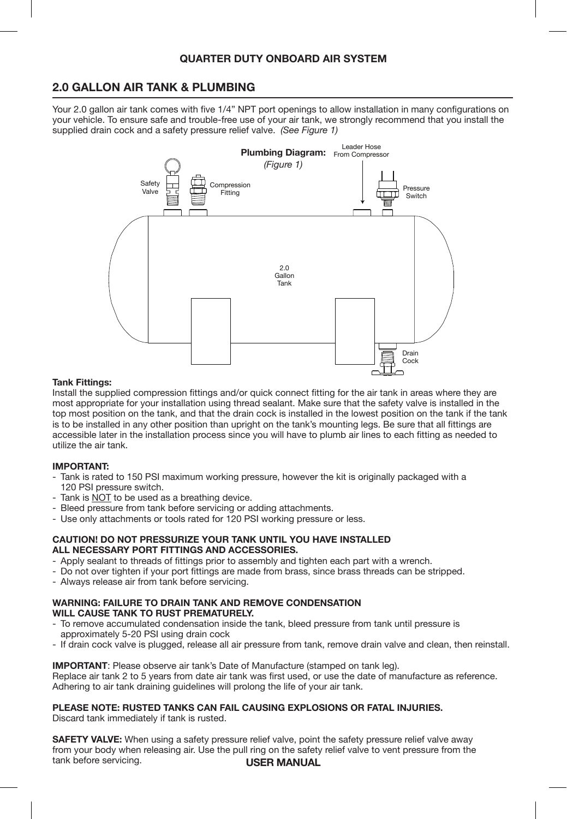## **2.0 GALLON AIR TANK & PLUMBING**

Your 2.0 gallon air tank comes with five 1/4" NPT port openings to allow installation in many configurations on your vehicle. To ensure safe and trouble-free use of your air tank, we strongly recommend that you install the supplied drain cock and a safety pressure relief valve. *(See Figure 1)*



#### **Tank Fittings:**

Install the supplied compression fittings and/or quick connect fitting for the air tank in areas where they are most appropriate for your installation using thread sealant. Make sure that the safety valve is installed in the top most position on the tank, and that the drain cock is installed in the lowest position on the tank if the tank is to be installed in any other position than upright on the tank's mounting legs. Be sure that all fittings are accessible later in the installation process since you will have to plumb air lines to each fitting as needed to utilize the air tank.

#### **IMPORTANT:**

- Tank is rated to 150 PSI maximum working pressure, however the kit is originally packaged with a 120 PSI pressure switch.
- Tank is  $NOT$  to be used as a breathing device.
- Bleed pressure from tank before servicing or adding attachments.
- Use only attachments or tools rated for 120 PSI working pressure or less.

#### **CAUTION! DO NOT PRESSURIZE YOUR TANK UNTIL YOU HAVE INSTALLED ALL NECESSARY PORT FITTINGS AND ACCESSORIES.**

- Apply sealant to threads of fittings prior to assembly and tighten each part with a wrench.
- Do not over tighten if your port fittings are made from brass, since brass threads can be stripped.
- Always release air from tank before servicing.

#### **WARNING: FAILURE TO DRAIN TANK AND REMOVE CONDENSATION WILL CAUSE TANK TO RUST PREMATURELY.**

- To remove accumulated condensation inside the tank, bleed pressure from tank until pressure is
- approximately 5-20 PSI using drain cock
- If drain cock valve is plugged, release all air pressure from tank, remove drain valve and clean, then reinstall.

**IMPORTANT**: Please observe air tank's Date of Manufacture (stamped on tank leg). Replace air tank 2 to 5 years from date air tank was first used, or use the date of manufacture as reference. Adhering to air tank draining guidelines will prolong the life of your air tank.

#### **PLEASE NOTE: RUSTED TANKS CAN FAIL CAUSING EXPLOSIONS OR FATAL INJURIES.**

Discard tank immediately if tank is rusted.

**USER MANUAL SAFETY VALVE:** When using a safety pressure relief valve, point the safety pressure relief valve away from your body when releasing air. Use the pull ring on the safety relief valve to vent pressure from the tank before servicing.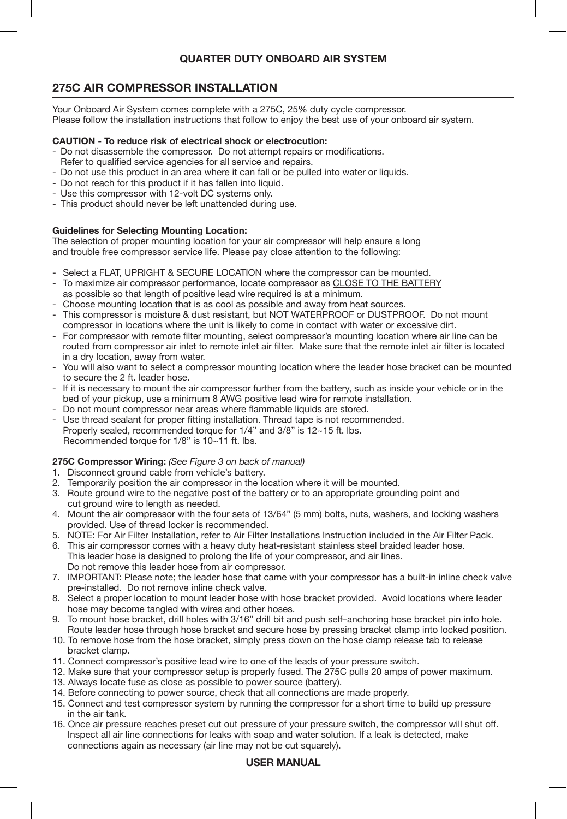# **275C AIR COMPRESSOR INSTALLATION**

Your Onboard Air System comes complete with a 275C, 25% duty cycle compressor. Please follow the installation instructions that follow to enjoy the best use of your onboard air system.

### **CAUTION - To reduce risk of electrical shock or electrocution:**

- Do not disassemble the compressor. Do not attempt repairs or modifications. Refer to qualified service agencies for all service and repairs.
- Do not use this product in an area where it can fall or be pulled into water or liquids.
- Do not reach for this product if it has fallen into liquid.
- Use this compressor with 12-volt DC systems only.
- This product should never be left unattended during use.

#### **Guidelines for Selecting Mounting Location:**

The selection of proper mounting location for your air compressor will help ensure a long and trouble free compressor service life. Please pay close attention to the following:

- Select a FLAT, UPRIGHT & SECURE LOCATION where the compressor can be mounted.
- To maximize air compressor performance, locate compressor as CLOSE TO THE BATTERY
- as possible so that length of positive lead wire required is at a minimum.
- Choose mounting location that is as cool as possible and away from heat sources.
- This compressor is moisture & dust resistant, but NOT WATERPROOF or DUSTPROOF. Do not mount compressor in locations where the unit is likely to come in contact with water or excessive dirt.
- For compressor with remote filter mounting, select compressor's mounting location where air line can be routed from compressor air inlet to remote inlet air filter. Make sure that the remote inlet air filter is located in a dry location, away from water.
- You will also want to select a compressor mounting location where the leader hose bracket can be mounted to secure the 2 ft. leader hose.
- If it is necessary to mount the air compressor further from the battery, such as inside your vehicle or in the bed of your pickup, use a minimum 8 AWG positive lead wire for remote installation.
- Do not mount compressor near areas where flammable liquids are stored.
- Use thread sealant for proper fitting installation. Thread tape is not recommended. Properly sealed, recommended torque for 1/4" and 3/8" is 12~15 ft. lbs. Recommended torque for 1/8" is 10~11 ft. lbs.

## **275C Compressor Wiring:** *(See Figure 3 on back of manual)*

- 1. Disconnect ground cable from vehicle's battery.
- 2. Temporarily position the air compressor in the location where it will be mounted.
- 3. Route ground wire to the negative post of the battery or to an appropriate grounding point and cut ground wire to length as needed.
- 4. Mount the air compressor with the four sets of 13/64" (5 mm) bolts, nuts, washers, and locking washers provided. Use of thread locker is recommended.
- 5. NOTE: For Air Filter Installation, refer to Air Filter Installations Instruction included in the Air Filter Pack.
- 6. This air compressor comes with a heavy duty heat-resistant stainless steel braided leader hose. This leader hose is designed to prolong the life of your compressor, and air lines. Do not remove this leader hose from air compressor.
- 7. IMPORTANT: Please note; the leader hose that came with your compressor has a built-in inline check valve pre-installed. Do not remove inline check valve.
- 8. Select a proper location to mount leader hose with hose bracket provided. Avoid locations where leader hose may become tangled with wires and other hoses.
- 9. To mount hose bracket, drill holes with 3/16" drill bit and push self–anchoring hose bracket pin into hole. Route leader hose through hose bracket and secure hose by pressing bracket clamp into locked position.
- 10. To remove hose from the hose bracket, simply press down on the hose clamp release tab to release bracket clamp.
- 11. Connect compressor's positive lead wire to one of the leads of your pressure switch.
- 12. Make sure that your compressor setup is properly fused. The 275C pulls 20 amps of power maximum.
- 13. Always locate fuse as close as possible to power source (battery).
- 14. Before connecting to power source, check that all connections are made properly.
- 15. Connect and test compressor system by running the compressor for a short time to build up pressure in the air tank.
- 16. Once air pressure reaches preset cut out pressure of your pressure switch, the compressor will shut off. Inspect all air line connections for leaks with soap and water solution. If a leak is detected, make connections again as necessary (air line may not be cut squarely).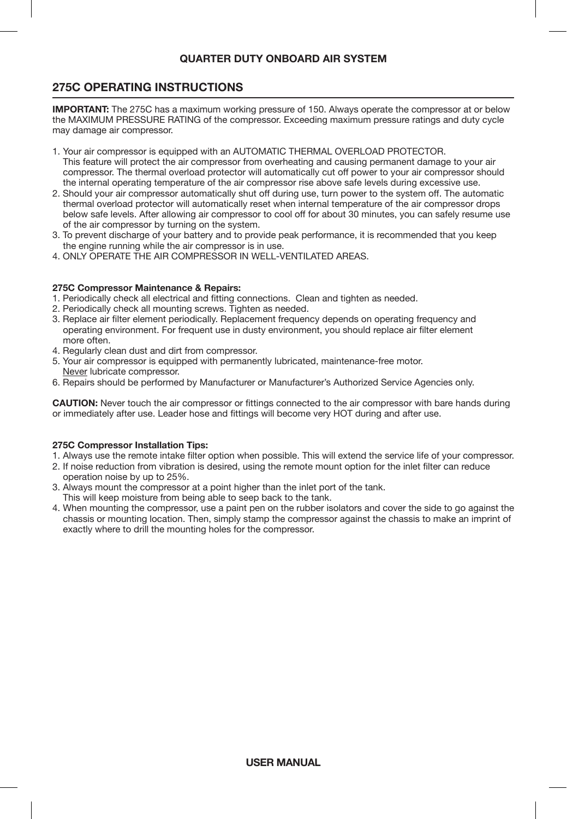## **275C OPERATING INSTRUCTIONS**

**IMPORTANT:** The 275C has a maximum working pressure of 150. Always operate the compressor at or below the MAXIMUM PRESSURE RATING of the compressor. Exceeding maximum pressure ratings and duty cycle may damage air compressor.

- 1. Your air compressor is equipped with an AUTOMATIC THERMAL OVERLOAD PROTECTOR. This feature will protect the air compressor from overheating and causing permanent damage to your air compressor. The thermal overload protector will automatically cut off power to your air compressor should the internal operating temperature of the air compressor rise above safe levels during excessive use.
- 2. Should your air compressor automatically shut off during use, turn power to the system off. The automatic thermal overload protector will automatically reset when internal temperature of the air compressor drops below safe levels. After allowing air compressor to cool off for about 30 minutes, you can safely resume use of the air compressor by turning on the system.
- 3. To prevent discharge of your battery and to provide peak performance, it is recommended that you keep the engine running while the air compressor is in use.
- 4. ONLY OPERATE THE AIR COMPRESSOR IN WELL-VENTILATED AREAS.

#### **275C Compressor Maintenance & Repairs:**

- 1. Periodically check all electrical and fitting connections. Clean and tighten as needed.
- 2. Periodically check all mounting screws. Tighten as needed.
- 3. Replace air filter element periodically. Replacement frequency depends on operating frequency and operating environment. For frequent use in dusty environment, you should replace air filter element more often.
- 4. Regularly clean dust and dirt from compressor.
- 5. Your air compressor is equipped with permanently lubricated, maintenance-free motor. Never lubricate compressor.
- 6. Repairs should be performed by Manufacturer or Manufacturer's Authorized Service Agencies only.

**CAUTION:** Never touch the air compressor or fittings connected to the air compressor with bare hands during or immediately after use. Leader hose and fittings will become very HOT during and after use.

## **275C Compressor Installation Tips:**

- 1. Always use the remote intake filter option when possible. This will extend the service life of your compressor.
- 2. If noise reduction from vibration is desired, using the remote mount option for the inlet filter can reduce
- operation noise by up to 25%.
- 3. Always mount the compressor at a point higher than the inlet port of the tank.
- This will keep moisture from being able to seep back to the tank.
- 4. When mounting the compressor, use a paint pen on the rubber isolators and cover the side to go against the chassis or mounting location. Then, simply stamp the compressor against the chassis to make an imprint of exactly where to drill the mounting holes for the compressor.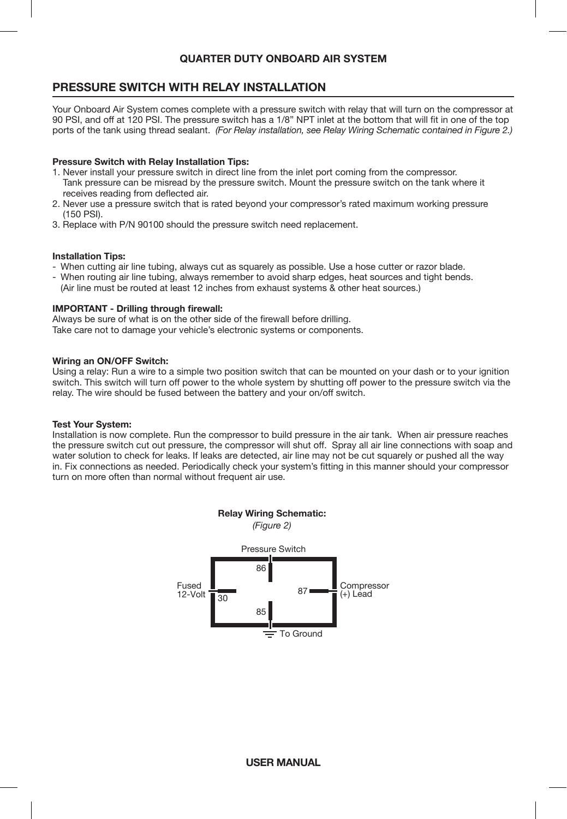## **PRESSURE SWITCH WITH RELAY INSTALLATION**

Your Onboard Air System comes complete with a pressure switch with relay that will turn on the compressor at 90 PSI, and off at 120 PSI. The pressure switch has a 1/8" NPT inlet at the bottom that will fit in one of the top ports of the tank using thread sealant. *(For Relay installation, see Relay Wiring Schematic contained in Figure 2.)*

#### **Pressure Switch with Relay Installation Tips:**

- 1. Never install your pressure switch in direct line from the inlet port coming from the compressor. Tank pressure can be misread by the pressure switch. Mount the pressure switch on the tank where it receives reading from deflected air.
- 2. Never use a pressure switch that is rated beyond your compressor's rated maximum working pressure (150 PSI).
- 3. Replace with P/N 90100 should the pressure switch need replacement.

#### **Installation Tips:**

- When cutting air line tubing, always cut as squarely as possible. Use a hose cutter or razor blade.
- When routing air line tubing, always remember to avoid sharp edges, heat sources and tight bends. (Air line must be routed at least 12 inches from exhaust systems & other heat sources.)

#### **IMPORTANT - Drilling through firewall:**

Always be sure of what is on the other side of the firewall before drilling. Take care not to damage your vehicle's electronic systems or components.

#### **Wiring an ON/OFF Switch:**

Using a relay: Run a wire to a simple two position switch that can be mounted on your dash or to your ignition switch. This switch will turn off power to the whole system by shutting off power to the pressure switch via the relay. The wire should be fused between the battery and your on/off switch.

#### **Test Your System:**

Installation is now complete. Run the compressor to build pressure in the air tank. When air pressure reaches the pressure switch cut out pressure, the compressor will shut off. Spray all air line connections with soap and water solution to check for leaks. If leaks are detected, air line may not be cut squarely or pushed all the way in. Fix connections as needed. Periodically check your system's fitting in this manner should your compressor turn on more often than normal without frequent air use.

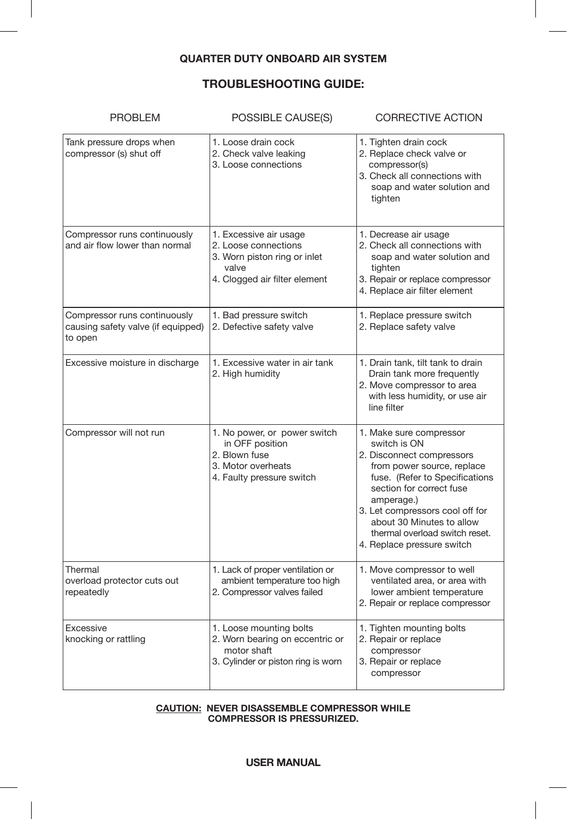I

# **TROUBLESHOOTING GUIDE:**

| <b>PROBLEM</b>                                                                | POSSIBLE CAUSE(S)                                                                                                        | <b>CORRECTIVE ACTION</b>                                                                                                                                                                                                                                                                                       |  |
|-------------------------------------------------------------------------------|--------------------------------------------------------------------------------------------------------------------------|----------------------------------------------------------------------------------------------------------------------------------------------------------------------------------------------------------------------------------------------------------------------------------------------------------------|--|
| Tank pressure drops when<br>compressor (s) shut off                           | 1. Loose drain cock<br>2. Check valve leaking<br>3. Loose connections                                                    | 1. Tighten drain cock<br>2. Replace check valve or<br>compressor(s)<br>3. Check all connections with<br>soap and water solution and<br>tighten                                                                                                                                                                 |  |
| Compressor runs continuously<br>and air flow lower than normal                | 1. Excessive air usage<br>2. Loose connections<br>3. Worn piston ring or inlet<br>valve<br>4. Clogged air filter element | 1. Decrease air usage<br>2. Check all connections with<br>soap and water solution and<br>tighten<br>3. Repair or replace compressor<br>4. Replace air filter element                                                                                                                                           |  |
| Compressor runs continuously<br>causing safety valve (if equipped)<br>to open | 1. Bad pressure switch<br>2. Defective safety valve                                                                      | 1. Replace pressure switch<br>2. Replace safety valve                                                                                                                                                                                                                                                          |  |
| Excessive moisture in discharge                                               | 1. Excessive water in air tank<br>2. High humidity                                                                       | 1. Drain tank, tilt tank to drain<br>Drain tank more frequently<br>2. Move compressor to area<br>with less humidity, or use air<br>line filter                                                                                                                                                                 |  |
| Compressor will not run                                                       | 1. No power, or power switch<br>in OFF position<br>2. Blown fuse<br>3. Motor overheats<br>4. Faulty pressure switch      | 1. Make sure compressor<br>switch is ON<br>2. Disconnect compressors<br>from power source, replace<br>fuse. (Refer to Specifications<br>section for correct fuse<br>amperage.)<br>3. Let compressors cool off for<br>about 30 Minutes to allow<br>thermal overload switch reset.<br>4. Replace pressure switch |  |
| Thermal<br>overload protector cuts out<br>repeatedly                          | 1. Lack of proper ventilation or<br>ambient temperature too high<br>2. Compressor valves failed                          | 1. Move compressor to well<br>ventilated area, or area with<br>lower ambient temperature<br>2. Repair or replace compressor                                                                                                                                                                                    |  |
| Excessive<br>knocking or rattling                                             | 1. Loose mounting bolts<br>2. Worn bearing on eccentric or<br>motor shaft<br>3. Cylinder or piston ring is worn          | 1. Tighten mounting bolts<br>2. Repair or replace<br>compressor<br>3. Repair or replace<br>compressor                                                                                                                                                                                                          |  |

#### **CAUTION: NEVER DISASSEMBLE COMPRESSOR WHILE COMPRESSOR IS PRESSURIZED.**